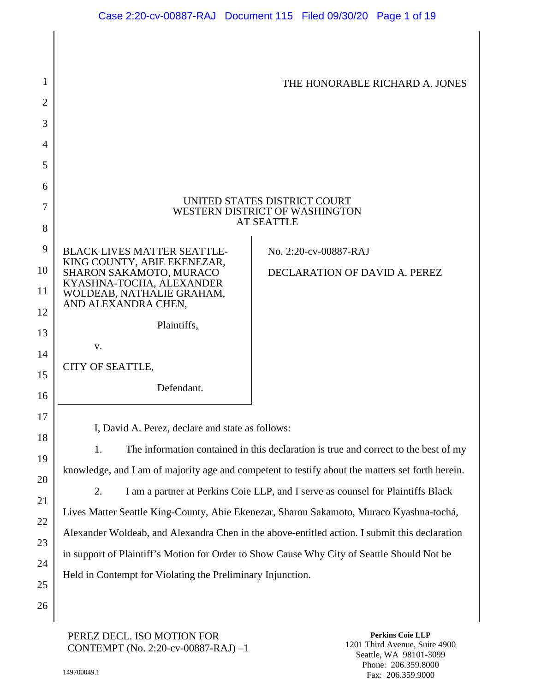| 1  |                                                                                                  | THE HONORABLE RICHARD A. JONES |  |
|----|--------------------------------------------------------------------------------------------------|--------------------------------|--|
| 2  |                                                                                                  |                                |  |
| 3  |                                                                                                  |                                |  |
| 4  |                                                                                                  |                                |  |
| 5  |                                                                                                  |                                |  |
| 6  |                                                                                                  |                                |  |
| 7  | UNITED STATES DISTRICT COURT<br>WESTERN DISTRICT OF WASHINGTON                                   |                                |  |
| 8  |                                                                                                  | <b>AT SEATTLE</b>              |  |
| 9  | <b>BLACK LIVES MATTER SEATTLE-</b>                                                               | No. 2:20-cv-00887-RAJ          |  |
| 10 | KING COUNTY, ABIE EKENEZAR,<br>SHARON SAKAMOTO, MURACO                                           | DECLARATION OF DAVID A. PEREZ  |  |
| 11 | KYASHNA-TOCHA, ALEXANDER<br>WOLDEAB, NATHALIE GRAHAM,                                            |                                |  |
| 12 | AND ALEXANDRA CHEN,                                                                              |                                |  |
| 13 | Plaintiffs,                                                                                      |                                |  |
| 14 | V.                                                                                               |                                |  |
| 15 | CITY OF SEATTLE,                                                                                 |                                |  |
| 16 | Defendant.                                                                                       |                                |  |
| 17 |                                                                                                  |                                |  |
| 18 | I, David A. Perez, declare and state as follows:                                                 |                                |  |
| 19 | The information contained in this declaration is true and correct to the best of my<br>1.        |                                |  |
| 20 | knowledge, and I am of majority age and competent to testify about the matters set forth herein. |                                |  |
| 21 | 2.<br>I am a partner at Perkins Coie LLP, and I serve as counsel for Plaintiffs Black            |                                |  |
| 22 | Lives Matter Seattle King-County, Abie Ekenezar, Sharon Sakamoto, Muraco Kyashna-tochá,          |                                |  |
|    | Alexander Woldeab, and Alexandra Chen in the above-entitled action. I submit this declaration    |                                |  |

in support of Plaintiff's Motion for Order to Show Cause Why City of Seattle Should Not be

Held in Contempt for Violating the Preliminary Injunction.

### PEREZ DECL. ISO MOTION FOR CONTEMPT (No. 2:20-cv-00887-RAJ) –1

**Perkins Coie LLP** 1201 Third Avenue, Suite 4900 Seattle, WA 98101-3099 Phone: 206.359.8000 Fax: 206.359.9000

23

24

25

26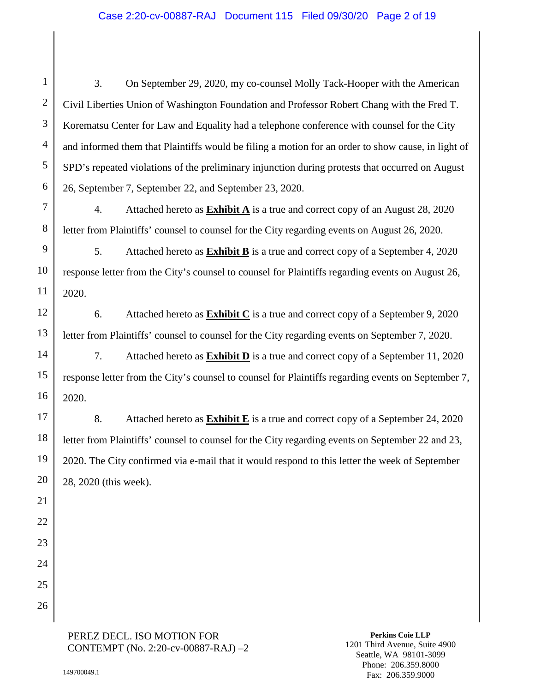3. On September 29, 2020, my co-counsel Molly Tack-Hooper with the American Civil Liberties Union of Washington Foundation and Professor Robert Chang with the Fred T. Korematsu Center for Law and Equality had a telephone conference with counsel for the City and informed them that Plaintiffs would be filing a motion for an order to show cause, in light of SPD's repeated violations of the preliminary injunction during protests that occurred on August 26, September 7, September 22, and September 23, 2020.

4. Attached hereto as **Exhibit A** is a true and correct copy of an August 28, 2020 letter from Plaintiffs' counsel to counsel for the City regarding events on August 26, 2020.

5. Attached hereto as **Exhibit B** is a true and correct copy of a September 4, 2020 response letter from the City's counsel to counsel for Plaintiffs regarding events on August 26, 2020.

6. Attached hereto as **Exhibit C** is a true and correct copy of a September 9, 2020 letter from Plaintiffs' counsel to counsel for the City regarding events on September 7, 2020.

7. Attached hereto as **Exhibit D** is a true and correct copy of a September 11, 2020 response letter from the City's counsel to counsel for Plaintiffs regarding events on September 7, 2020.

8. Attached hereto as **Exhibit E** is a true and correct copy of a September 24, 2020 letter from Plaintiffs' counsel to counsel for the City regarding events on September 22 and 23, 2020. The City confirmed via e-mail that it would respond to this letter the week of September 28, 2020 (this week).

1

2

3

4

5

PEREZ DECL. ISO MOTION FOR CONTEMPT (No. 2:20-cv-00887-RAJ) –2

**Perkins Coie LLP** 1201 Third Avenue, Suite 4900 Seattle, WA 98101-3099 Phone: 206.359.8000 Fax: 206.359.9000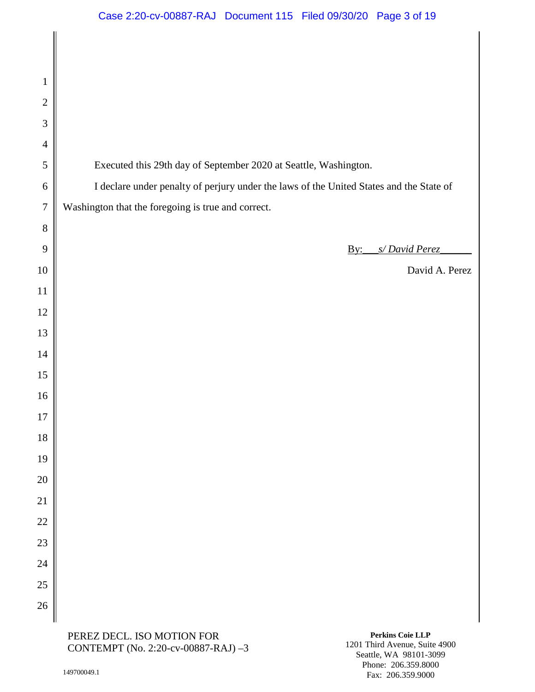| $\mathbf{1}$   |                                                                                         |
|----------------|-----------------------------------------------------------------------------------------|
| $\overline{2}$ |                                                                                         |
| 3              |                                                                                         |
| $\overline{4}$ |                                                                                         |
| 5              | Executed this 29th day of September 2020 at Seattle, Washington.                        |
| 6              | I declare under penalty of perjury under the laws of the United States and the State of |
| $\tau$         | Washington that the foregoing is true and correct.                                      |
| 8              |                                                                                         |
| 9              | s/David Perez<br>By:                                                                    |
| 10             | David A. Perez                                                                          |
| 11             |                                                                                         |
| 12             |                                                                                         |
| 13             |                                                                                         |
| 14             |                                                                                         |
| 15             |                                                                                         |
| 16             |                                                                                         |
| $17\,$         |                                                                                         |
| 18             |                                                                                         |
| 19             |                                                                                         |
| 20             |                                                                                         |
| 21             |                                                                                         |
| 22             |                                                                                         |
| 23             |                                                                                         |
| 24             |                                                                                         |
| 25             |                                                                                         |
| 26             |                                                                                         |
|                | Perkins Coje LLP<br>DEDEZ DECI ISO MOTION EOD                                           |

**Perkins Coie LLP** 1201 Third Avenue, Suite 4900 Seattle, WA 98101-3099 Phone: 206.359.8000 Fax: 206.359.9000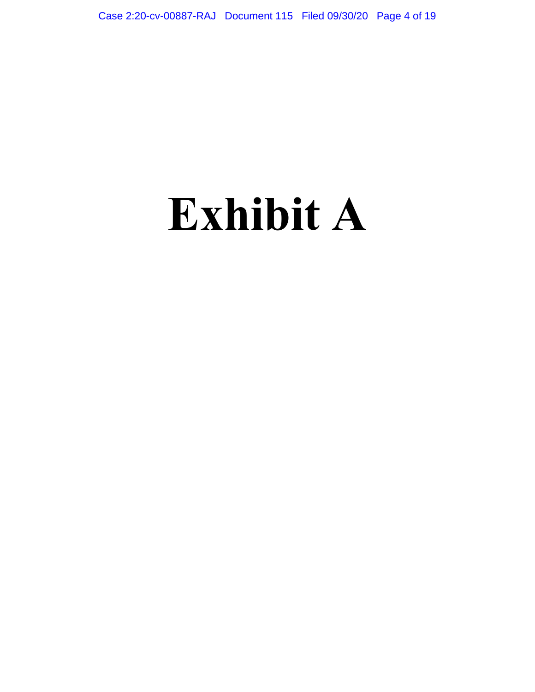## **Exhibit A**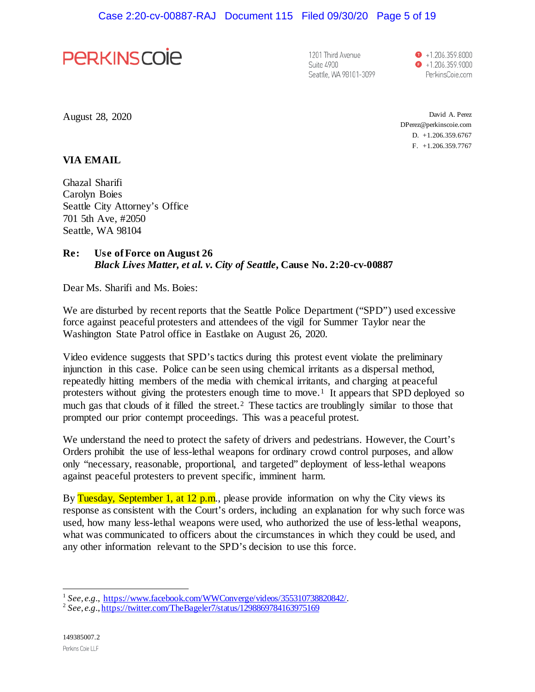

1201 Third Avenue Suite 4900 Seattle, WA 98101-3099

 $\bullet$  +1.206.359.8000  $\bullet$  +1.206.359.9000 PerkinsCoie.com

August 28, 2020

David A. Perez DPerez@perkinscoie.com D. +1.206.359.6767 F. +1.206.359.7767

#### **VIA EMAIL**

Ghazal Sharifi Carolyn Boies Seattle City Attorney's Office 701 5th Ave, #2050 Seattle, WA 98104

## **Re: Use of Force on August 26** *Black Lives Matter, et al. v. City of Seattle***, Cause No. 2:20-cv-00887**

Dear Ms. Sharifi and Ms. Boies:

We are disturbed by recent reports that the Seattle Police Department ("SPD") used excessive force against peaceful protesters and attendees of the vigil for Summer Taylor near the Washington State Patrol office in Eastlake on August 26, 2020.

Video evidence suggests that SPD's tactics during this protest event violate the preliminary injunction in this case. Police can be seen using chemical irritants as a dispersal method, repeatedly hitting members of the media with chemical irritants, and charging at peaceful protesters without giving the protesters enough time to move.<sup>1</sup> It appears that SPD deployed so much gas that clouds of it filled the street.<sup>2</sup> These tactics are troublingly similar to those that prompted our prior contempt proceedings. This was a peaceful protest.

We understand the need to protect the safety of drivers and pedestrians. However, the Court's Orders prohibit the use of less-lethal weapons for ordinary crowd control purposes, and allow only "necessary, reasonable, proportional, and targeted" deployment of less-lethal weapons against peaceful protesters to prevent specific, imminent harm.

By Tuesday, September 1, at 12 p.m., please provide information on why the City views its response as consistent with the Court's orders, including an explanation for why such force was used, how many less-lethal weapons were used, who authorized the use of less-lethal weapons, what was communicated to officers about the circumstances in which they could be used, and any other information relevant to the SPD's decision to use this force.

 $^{1}$  See, e.g., https://www.facebook.com/WWConverge/videos/355310738820842/.

<sup>&</sup>lt;sup>2</sup> *See, e.g., https://twitter.com/TheBageler7/status/1298869784163975169*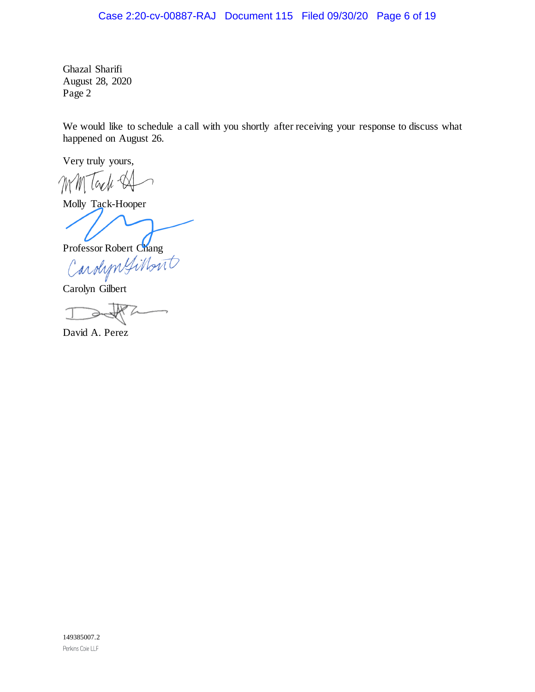## Case 2:20-cv-00887-RAJ Document 115 Filed 09/30/20 Page 6 of 19

Ghazal Sharifi August 28, 2020 Page 2

We would like to schedule a call with you shortly after receiving your response to discuss what happened on August 26.

Very truly yours,

Mach-MM  $\bigcap$ 

Molly Tack-Hooper

Professor Robert Chang<br>Carolyn Gilbon

Carolyn Gilbert

3

David A. Perez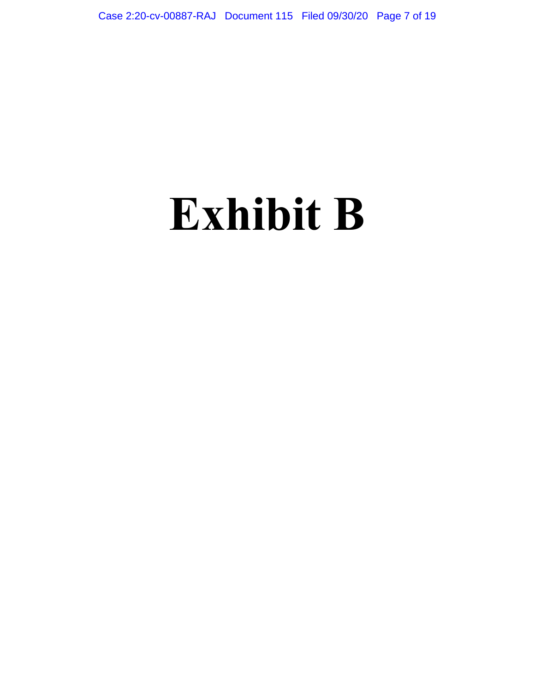# **Exhibit B**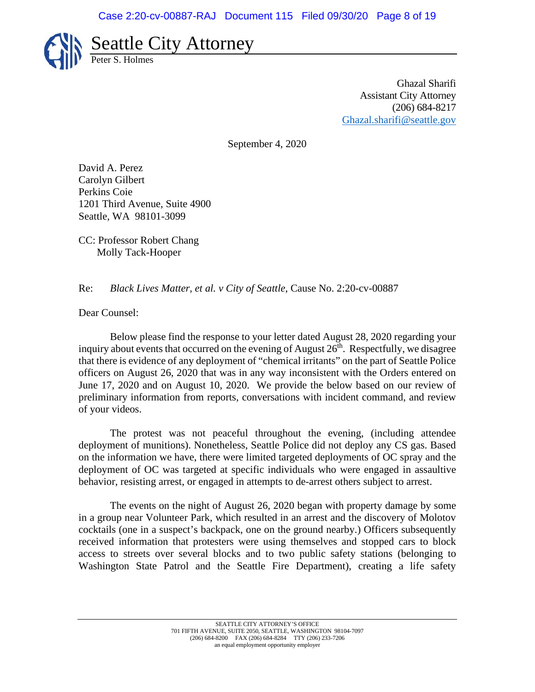

Ghazal Sharifi Assistant City Attorney (206) 684-8217 [Ghazal.sharifi@seattle.gov](mailto:Ghazal.sharifi@seattle.gov)

September 4, 2020

David A. Perez Carolyn Gilbert Perkins Coie 1201 Third Avenue, Suite 4900 Seattle, WA 98101-3099

CC: Professor Robert Chang Molly Tack-Hooper

### Re: *Black Lives Matter, et al. v City of Seattle*, Cause No. 2:20-cv-00887

Dear Counsel:

Below please find the response to your letter dated August 28, 2020 regarding your inquiry about events that occurred on the evening of August  $26<sup>th</sup>$ . Respectfully, we disagree that there is evidence of any deployment of "chemical irritants" on the part of Seattle Police officers on August 26, 2020 that was in any way inconsistent with the Orders entered on June 17, 2020 and on August 10, 2020. We provide the below based on our review of preliminary information from reports, conversations with incident command, and review of your videos.

The protest was not peaceful throughout the evening, (including attendee deployment of munitions). Nonetheless, Seattle Police did not deploy any CS gas. Based on the information we have, there were limited targeted deployments of OC spray and the deployment of OC was targeted at specific individuals who were engaged in assaultive behavior, resisting arrest, or engaged in attempts to de-arrest others subject to arrest.

The events on the night of August 26, 2020 began with property damage by some in a group near Volunteer Park, which resulted in an arrest and the discovery of Molotov cocktails (one in a suspect's backpack, one on the ground nearby.) Officers subsequently received information that protesters were using themselves and stopped cars to block access to streets over several blocks and to two public safety stations (belonging to Washington State Patrol and the Seattle Fire Department), creating a life safety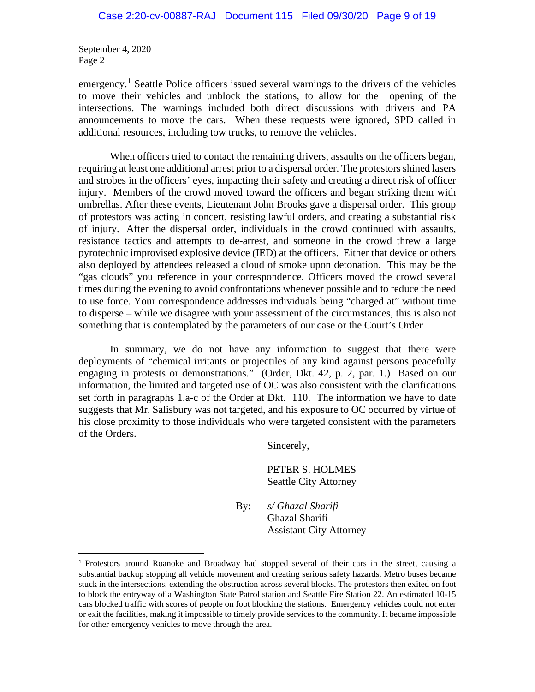September 4, 2020 Page 2

emergency.<sup>[1](#page-8-0)</sup> Seattle Police officers issued several warnings to the drivers of the vehicles to move their vehicles and unblock the stations, to allow for the opening of the intersections. The warnings included both direct discussions with drivers and PA announcements to move the cars. When these requests were ignored, SPD called in additional resources, including tow trucks, to remove the vehicles.

When officers tried to contact the remaining drivers, assaults on the officers began, requiring at least one additional arrest prior to a dispersal order. The protestors shined lasers and strobes in the officers' eyes, impacting their safety and creating a direct risk of officer injury. Members of the crowd moved toward the officers and began striking them with umbrellas. After these events, Lieutenant John Brooks gave a dispersal order. This group of protestors was acting in concert, resisting lawful orders, and creating a substantial risk of injury. After the dispersal order, individuals in the crowd continued with assaults, resistance tactics and attempts to de-arrest, and someone in the crowd threw a large pyrotechnic improvised explosive device (IED) at the officers. Either that device or others also deployed by attendees released a cloud of smoke upon detonation. This may be the "gas clouds" you reference in your correspondence. Officers moved the crowd several times during the evening to avoid confrontations whenever possible and to reduce the need to use force. Your correspondence addresses individuals being "charged at" without time to disperse – while we disagree with your assessment of the circumstances, this is also not something that is contemplated by the parameters of our case or the Court's Order

In summary, we do not have any information to suggest that there were deployments of "chemical irritants or projectiles of any kind against persons peacefully engaging in protests or demonstrations." (Order, Dkt. 42, p. 2, par. 1.) Based on our information, the limited and targeted use of OC was also consistent with the clarifications set forth in paragraphs 1.a-c of the Order at Dkt. 110. The information we have to date suggests that Mr. Salisbury was not targeted, and his exposure to OC occurred by virtue of his close proximity to those individuals who were targeted consistent with the parameters of the Orders.

Sincerely,

PETER S. HOLMES Seattle City Attorney

By: *s/ Ghazal Sharifi* Ghazal Sharifi Assistant City Attorney

<span id="page-8-0"></span><sup>1</sup> Protestors around Roanoke and Broadway had stopped several of their cars in the street, causing a substantial backup stopping all vehicle movement and creating serious safety hazards. Metro buses became stuck in the intersections, extending the obstruction across several blocks. The protestors then exited on foot to block the entryway of a Washington State Patrol station and Seattle Fire Station 22. An estimated 10-15 cars blocked traffic with scores of people on foot blocking the stations. Emergency vehicles could not enter or exit the facilities, making it impossible to timely provide services to the community. It became impossible for other emergency vehicles to move through the area.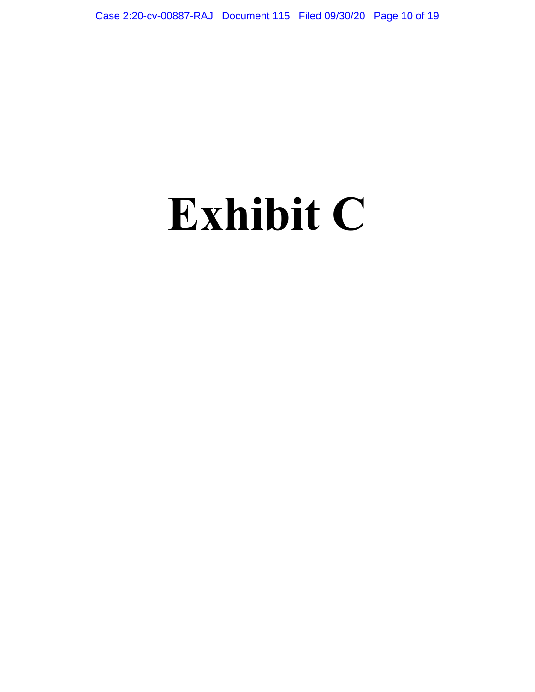# **Exhibit C**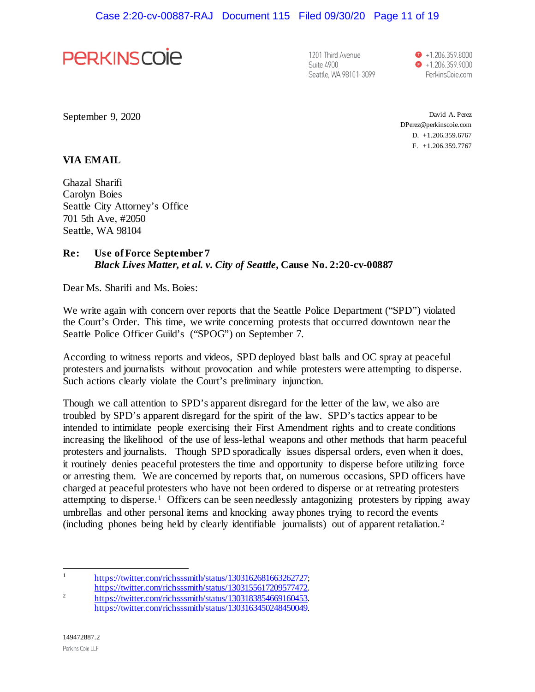

1201 Third Avenue Suite 4900 Seattle, WA 98101-3099  $\bullet$  +1.206.359.8000  $\bullet$  +1.206.359.9000 PerkinsCoie.com

September 9, 2020

David A. Perez DPerez@perkinscoie.com D. +1.206.359.6767 F. +1.206.359.7767

#### **VIA EMAIL**

Ghazal Sharifi Carolyn Boies Seattle City Attorney's Office 701 5th Ave, #2050 Seattle, WA 98104

## **Re: Use of Force September 7** *Black Lives Matter, et al. v. City of Seattle***, Cause No. 2:20-cv-00887**

Dear Ms. Sharifi and Ms. Boies:

We write again with concern over reports that the Seattle Police Department ("SPD") violated the Court's Order. This time, we write concerning protests that occurred downtown near the Seattle Police Officer Guild's ("SPOG") on September 7.

According to witness reports and videos, SPD deployed blast balls and OC spray at peaceful protesters and journalists without provocation and while protesters were attempting to disperse. Such actions clearly violate the Court's preliminary injunction.

Though we call attention to SPD's apparent disregard for the letter of the law, we also are troubled by SPD's apparent disregard for the spirit of the law. SPD's tactics appear to be intended to intimidate people exercising their First Amendment rights and to create conditions increasing the likelihood of the use of less-lethal weapons and other methods that harm peaceful protesters and journalists. Though SPD sporadically issues dispersal orders, even when it does, it routinely denies peaceful protesters the time and opportunity to disperse before utilizing force or arresting them. We are concerned by reports that, on numerous occasions, SPD officers have charged at peaceful protesters who have not been ordered to disperse or at retreating protesters attempting to disperse.<sup>1</sup> Officers can be seen needlessly antagonizing protesters by ripping away umbrellas and other personal items and knocking away phones trying to record the events (including phones being held by clearly identifiable journalists) out of apparent retaliation.2

<sup>1</sup> https://twitter.com/richsssmith/status/1303162681663262727;

https://twitter.com/richsssmith/status/1303155617209577472.<br>2 https://twitter.com/richsssmith/status/1303183854669160453.

https://twitter.com/richsssmith/status/1303163450248450049.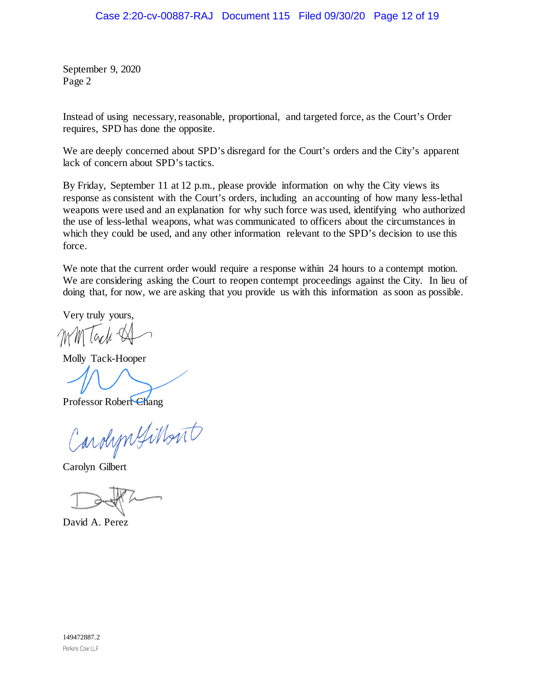September 9, 2020 Page 2

Instead of using necessary, reasonable, proportional, and targeted force, as the Court's Order requires, SPD has done the opposite.

We are deeply concerned about SPD's disregard for the Court's orders and the City's apparent lack of concern about SPD's tactics.

By Friday, September 11 at 12 p.m., please provide information on why the City views its response as consistent with the Court's orders, including an accounting of how many less-lethal weapons were used and an explanation for why such force was used, identifying who authorized the use of less-lethal weapons, what was communicated to officers about the circumstances in which they could be used, and any other information relevant to the SPD's decision to use this force.

We note that the current order would require a response within 24 hours to a contempt motion. We are considering asking the Court to reopen contempt proceedings against the City. In lieu of doing that, for now, we are asking that you provide us with this information as soon as possible.

Very truly yours,

Molly Tack-Hooper

Professor Robert Chang

arolyn Gilbert

Carolyn Gilbert

David A. Perez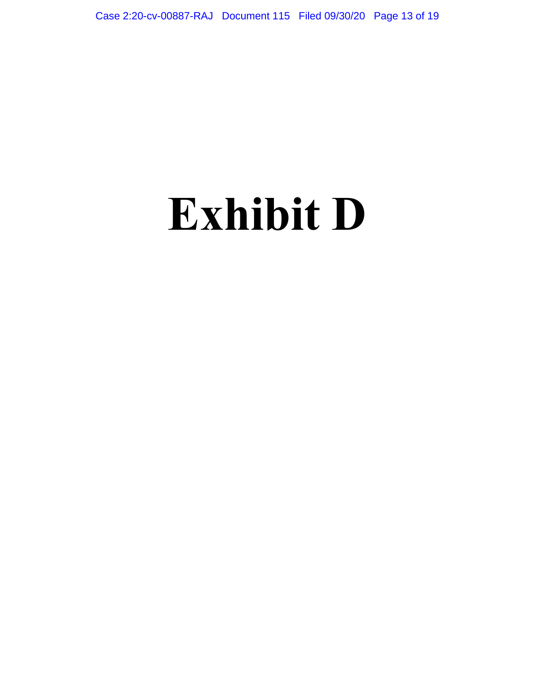# **Exhibit D**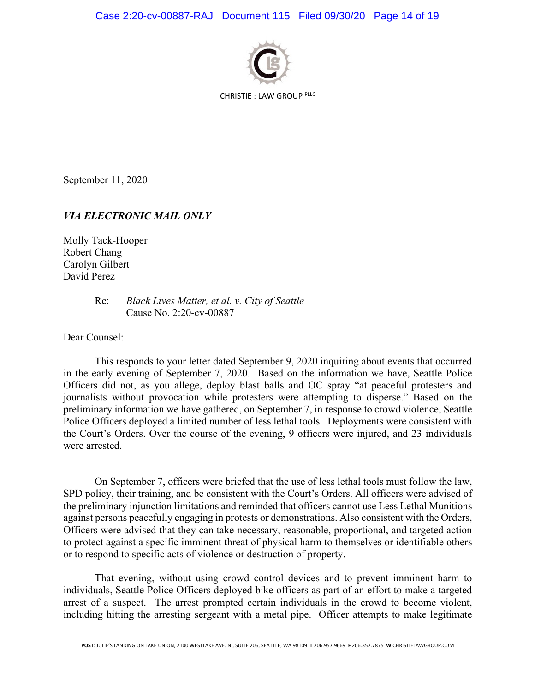

CHRISTIE : LAW GROUP PLLC

September 11, 2020

### *VIA ELECTRONIC MAIL ONLY*

Molly Tack-Hooper Robert Chang Carolyn Gilbert David Perez

> Re: *Black Lives Matter, et al. v. City of Seattle* Cause No. 2:20-cv-00887

Dear Counsel:

This responds to your letter dated September 9, 2020 inquiring about events that occurred in the early evening of September 7, 2020. Based on the information we have, Seattle Police Officers did not, as you allege, deploy blast balls and OC spray "at peaceful protesters and journalists without provocation while protesters were attempting to disperse." Based on the preliminary information we have gathered, on September 7, in response to crowd violence, Seattle Police Officers deployed a limited number of less lethal tools. Deployments were consistent with the Court's Orders. Over the course of the evening, 9 officers were injured, and 23 individuals were arrested.

On September 7, officers were briefed that the use of less lethal tools must follow the law, SPD policy, their training, and be consistent with the Court's Orders. All officers were advised of the preliminary injunction limitations and reminded that officers cannot use Less Lethal Munitions against persons peacefully engaging in protests or demonstrations. Also consistent with the Orders, Officers were advised that they can take necessary, reasonable, proportional, and targeted action to protect against a specific imminent threat of physical harm to themselves or identifiable others or to respond to specific acts of violence or destruction of property.

That evening, without using crowd control devices and to prevent imminent harm to individuals, Seattle Police Officers deployed bike officers as part of an effort to make a targeted arrest of a suspect. The arrest prompted certain individuals in the crowd to become violent, including hitting the arresting sergeant with a metal pipe. Officer attempts to make legitimate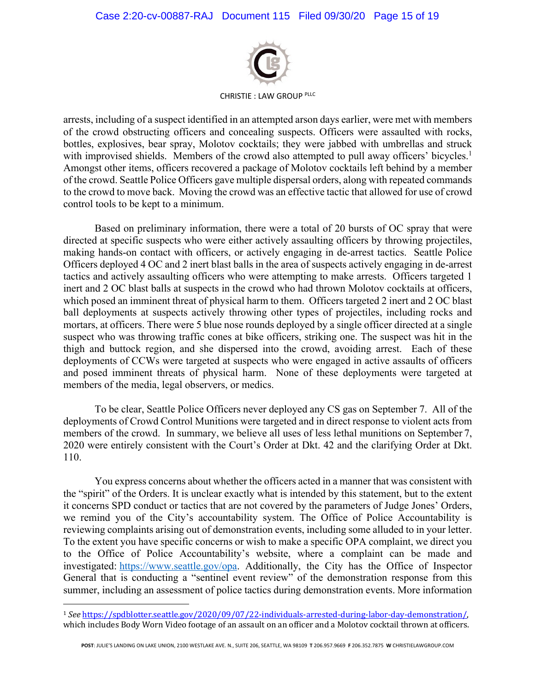

CHRISTIE : LAW GROUP PLLC

arrests, including of a suspect identified in an attempted arson days earlier, were met with members of the crowd obstructing officers and concealing suspects. Officers were assaulted with rocks, bottles, explosives, bear spray, Molotov cocktails; they were jabbed with umbrellas and struck with improvised shields. Members of the crowd also attempted to pull away officers' bicycles.<sup>1</sup> Amongst other items, officers recovered a package of Molotov cocktails left behind by a member of the crowd. Seattle Police Officers gave multiple dispersal orders, along with repeated commands to the crowd to move back. Moving the crowd was an effective tactic that allowed for use of crowd control tools to be kept to a minimum.

Based on preliminary information, there were a total of 20 bursts of OC spray that were directed at specific suspects who were either actively assaulting officers by throwing projectiles, making hands-on contact with officers, or actively engaging in de-arrest tactics. Seattle Police Officers deployed 4 OC and 2 inert blast balls in the area of suspects actively engaging in de-arrest tactics and actively assaulting officers who were attempting to make arrests. Officers targeted 1 inert and 2 OC blast balls at suspects in the crowd who had thrown Molotov cocktails at officers, which posed an imminent threat of physical harm to them. Officers targeted 2 inert and 2 OC blast ball deployments at suspects actively throwing other types of projectiles, including rocks and mortars, at officers. There were 5 blue nose rounds deployed by a single officer directed at a single suspect who was throwing traffic cones at bike officers, striking one. The suspect was hit in the thigh and buttock region, and she dispersed into the crowd, avoiding arrest. Each of these deployments of CCWs were targeted at suspects who were engaged in active assaults of officers and posed imminent threats of physical harm. None of these deployments were targeted at members of the media, legal observers, or medics.

To be clear, Seattle Police Officers never deployed any CS gas on September 7. All of the deployments of Crowd Control Munitions were targeted and in direct response to violent acts from members of the crowd. In summary, we believe all uses of less lethal munitions on September 7, 2020 were entirely consistent with the Court's Order at Dkt. 42 and the clarifying Order at Dkt. 110.

You express concerns about whether the officers acted in a manner that was consistent with the "spirit" of the Orders. It is unclear exactly what is intended by this statement, but to the extent it concerns SPD conduct or tactics that are not covered by the parameters of Judge Jones' Orders, we remind you of the City's accountability system. The Office of Police Accountability is reviewing complaints arising out of demonstration events, including some alluded to in your letter. To the extent you have specific concerns or wish to make a specific OPA complaint, we direct you to the Office of Police Accountability's website, where a complaint can be made and investigated: https://www.seattle.gov/opa. Additionally, the City has the Office of Inspector General that is conducting a "sentinel event review" of the demonstration response from this summer, including an assessment of police tactics during demonstration events. More information

<sup>1</sup> *See* https://spdblotter.seattle.gov/2020/09/07/22-individuals-arrested-during-labor-day-demonstration/, which includes Body Worn Video footage of an assault on an officer and a Molotov cocktail thrown at officers.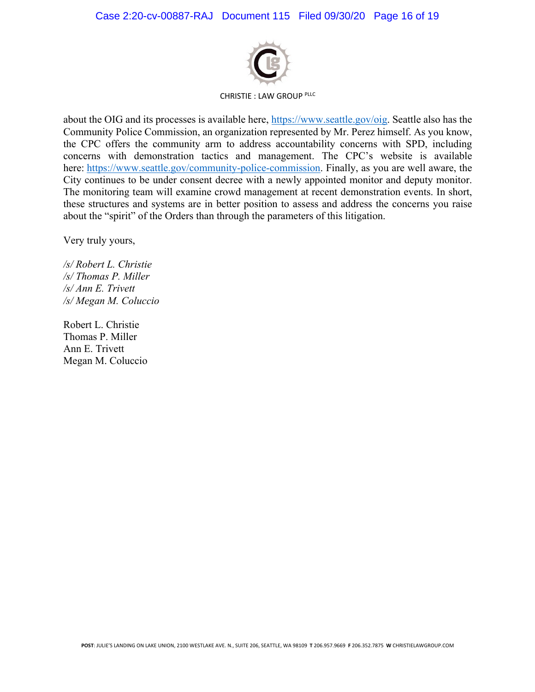

CHRISTIE : LAW GROUP PLLC

about the OIG and its processes is available here, https://www.seattle.gov/oig. Seattle also has the Community Police Commission, an organization represented by Mr. Perez himself. As you know, the CPC offers the community arm to address accountability concerns with SPD, including concerns with demonstration tactics and management. The CPC's website is available here: https://www.seattle.gov/community-police-commission. Finally, as you are well aware, the City continues to be under consent decree with a newly appointed monitor and deputy monitor. The monitoring team will examine crowd management at recent demonstration events. In short, these structures and systems are in better position to assess and address the concerns you raise about the "spirit" of the Orders than through the parameters of this litigation.

Very truly yours,

*/s/ Robert L. Christie /s/ Thomas P. Miller /s/ Ann E. Trivett /s/ Megan M. Coluccio*

Robert L. Christie Thomas P. Miller Ann E. Trivett Megan M. Coluccio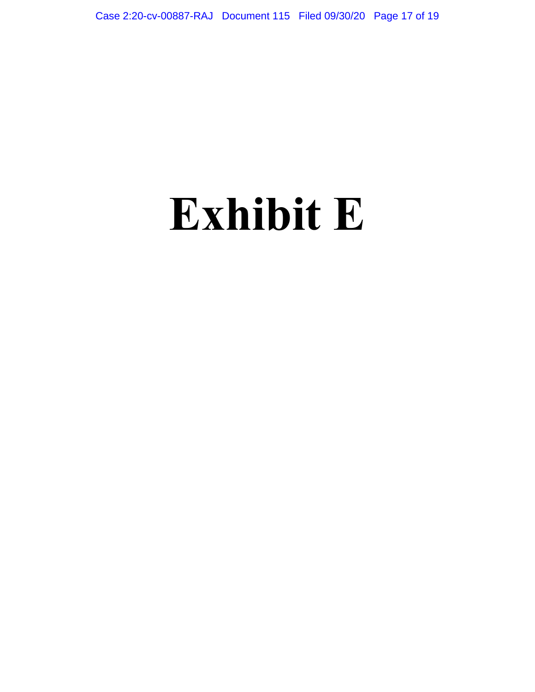## **Exhibit E**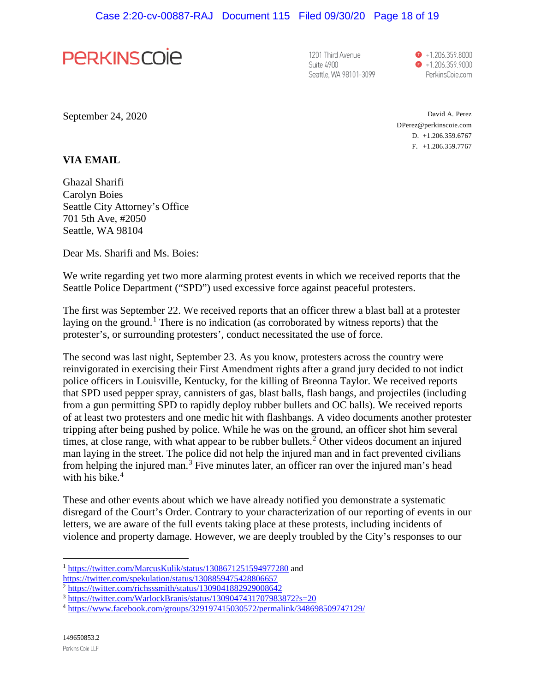

1201 Third Avenue Suite 4900 Seattle, WA 98101-3099

 $\bullet$  +1.206.359.8000  $\bullet$  +1.206.359.9000 PerkinsCoie.com

September 24, 2020

David A. Perez DPerez@perkinscoie.com D. +1.206.359.6767 F. +1.206.359.7767

#### **VIA EMAIL**

Ghazal Sharifi Carolyn Boies Seattle City Attorney's Office 701 5th Ave, #2050 Seattle, WA 98104

Dear Ms. Sharifi and Ms. Boies:

We write regarding yet two more alarming protest events in which we received reports that the Seattle Police Department ("SPD") used excessive force against peaceful protesters.

The first was September 22. We received reports that an officer threw a blast ball at a protester laying on the ground.<sup>[1](#page-17-0)</sup> There is no indication (as corroborated by witness reports) that the protester's, or surrounding protesters', conduct necessitated the use of force.

The second was last night, September 23. As you know, protesters across the country were reinvigorated in exercising their First Amendment rights after a grand jury decided to not indict police officers in Louisville, Kentucky, for the killing of Breonna Taylor. We received reports that SPD used pepper spray, cannisters of gas, blast balls, flash bangs, and projectiles (including from a gun permitting SPD to rapidly deploy rubber bullets and OC balls). We received reports of at least two protesters and one medic hit with flashbangs. A video documents another protester tripping after being pushed by police. While he was on the ground, an officer shot him several times, at close range, with what appear to be rubber bullets.<sup>[2](#page-17-1)</sup> Other videos document an injured man laying in the street. The police did not help the injured man and in fact prevented civilians from helping the injured man.<sup>[3](#page-17-2)</sup> Five minutes later, an officer ran over the injured man's head with his bike. $4$ 

These and other events about which we have already notified you demonstrate a systematic disregard of the Court's Order. Contrary to your characterization of our reporting of events in our letters, we are aware of the full events taking place at these protests, including incidents of violence and property damage. However, we are deeply troubled by the City's responses to our

<span id="page-17-0"></span><sup>&</sup>lt;sup>1</sup> <https://twitter.com/MarcusKulik/status/1308671251594977280> and https://twitter.com/spekulation/status/1308859475428806657

<span id="page-17-2"></span><span id="page-17-1"></span> $\frac{\frac{1}{2} \frac{https://twitter.com/richssmith/status/1309041882929008642}{https://twitter.com/WarlockBranis/status/1309047431707983872?s=20}}{\frac{3 \text{ https://twitter.com/WarlockBranis/status/1309047431707983872?s=20}}{\frac{4 \text{ https://www.facebook.com/groups/329197415030572/permalink/348698509747129}}$ 

<span id="page-17-3"></span>